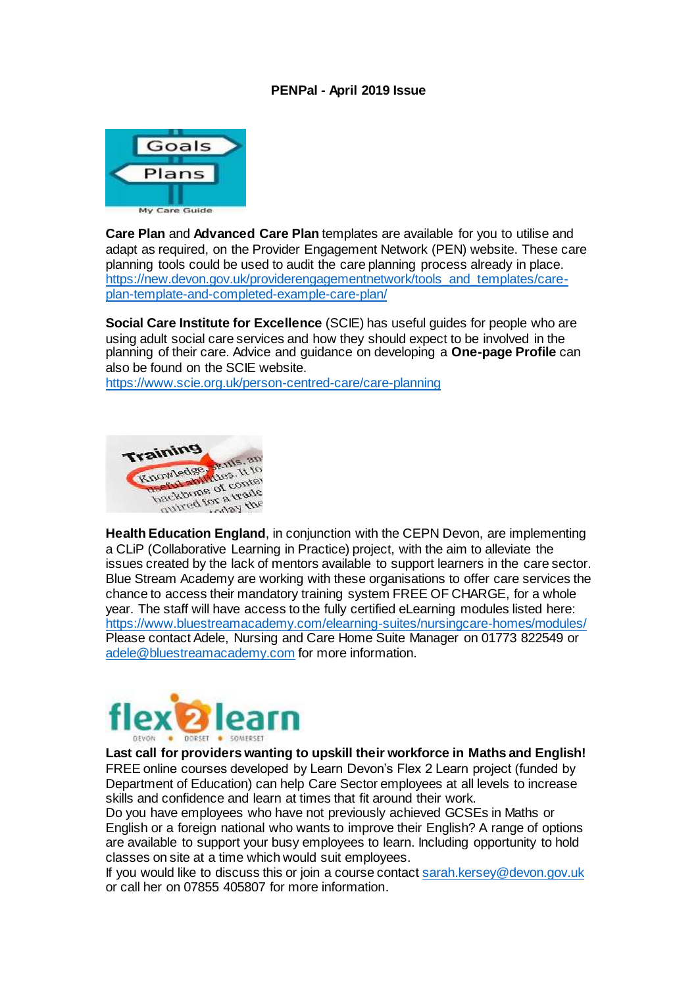## **PENPal - April 2019 Issue**



**Care Plan** and **Advanced Care Plan** templates are available for you to utilise and adapt as required, on the Provider Engagement Network (PEN) website. These care planning tools could be used to audit the care planning process already in place. [https://new.devon.gov.uk/providerengagementnetwork/tools\\_and\\_templates/care](https://new.devon.gov.uk/providerengagementnetwork/tools_and_templates/care-plan-template-and-completed-example-care-plan/)[plan-template-and-completed-example-care-plan/](https://new.devon.gov.uk/providerengagementnetwork/tools_and_templates/care-plan-template-and-completed-example-care-plan/)

**Social Care Institute for Excellence** (SCIE) has useful quides for people who are using adult social care services and how they should expect to be involved in the planning of their care. Advice and guidance on developing a **One-page Profile** can also be found on the SCIE website.

<https://www.scie.org.uk/person-centred-care/care-planning>



**Health Education England**, in conjunction with the CEPN Devon, are implementing a CLiP (Collaborative Learning in Practice) project, with the aim to alleviate the issues created by the lack of mentors available to support learners in the care sector. Blue Stream Academy are working with these organisations to offer care services the chance to access their mandatory training system FREE OF CHARGE, for a whole year. The staff will have access to the fully certified eLearning modules listed here: <https://www.bluestreamacademy.com/elearning-suites/nursingcare-homes/modules/> Please contact Adele, Nursing and Care Home Suite Manager on 01773 822549 or [adele@bluestreamacademy.com](mailto:adele@bluestreamacademy.com) for more information.



**Last call for providers wanting to upskill their workforce in Maths and English!** FREE online courses developed by Learn Devon's Flex 2 Learn project (funded by Department of Education) can help Care Sector employees at all levels to increase skills and confidence and learn at times that fit around their work.

Do you have employees who have not previously achieved GCSEs in Maths or English or a foreign national who wants to improve their English? A range of options are available to support your busy employees to learn. Including opportunity to hold classes on site at a time which would suit employees.

If you would like to discuss this or join a course contact [sarah.kersey@devon.gov.uk](mailto:sarah.kersey@devon.gov.uk) or call her on 07855 405807 for more information.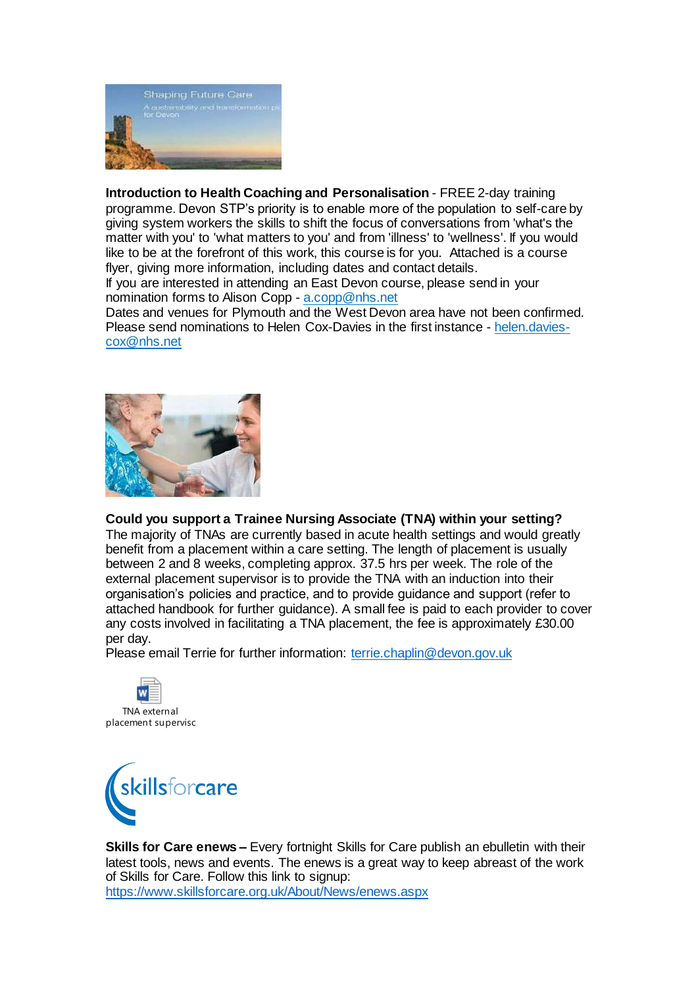

**Introduction to Health Coaching and Personalisation** - FREE 2-day training programme. Devon STP's priority is to enable more of the population to self-care by giving system workers the skills to shift the focus of conversations from 'what's the matter with you' to 'what matters to you' and from 'illness' to 'wellness'. If you would like to be at the forefront of this work, this course is for you. Attached is a course flyer, giving more information, including dates and contact details.

If you are interested in attending an East Devon course, please send in your nomination forms to Alison Copp - [a.copp@nhs.net](mailto:a.copp@nhs.net)

Dates and venues for Plymouth and the West Devon area have not been confirmed. Please send nominations to Helen Cox-Davies in the first instance - [helen.davies](mailto:helen.davies-cox@nhs.net)[cox@nhs.net](mailto:helen.davies-cox@nhs.net)



## **Could you support a Trainee Nursing Associate (TNA) within your setting?**

The majority of TNAs are currently based in acute health settings and would greatly benefit from a placement within a care setting. The length of placement is usually between 2 and 8 weeks, completing approx. 37.5 hrs per week. The role of the external placement supervisor is to provide the TNA with an induction into their organisation's policies and practice, and to provide guidance and support (refer to attached handbook for further guidance). A small fee is paid to each provider to cover any costs involved in facilitating a TNA placement, the fee is approximately £30.00 per day.

Please email Terrie for further information: [terrie.chaplin@devon.gov.uk](mailto:terrie.chaplin@devon.gov.uk)





**Skills for Care enews –** Every fortnight Skills for Care publish an ebulletin with their latest tools, news and events. The enews is a great way to keep abreast of the work of Skills for Care. Follow this link to signup: <https://www.skillsforcare.org.uk/About/News/enews.aspx>